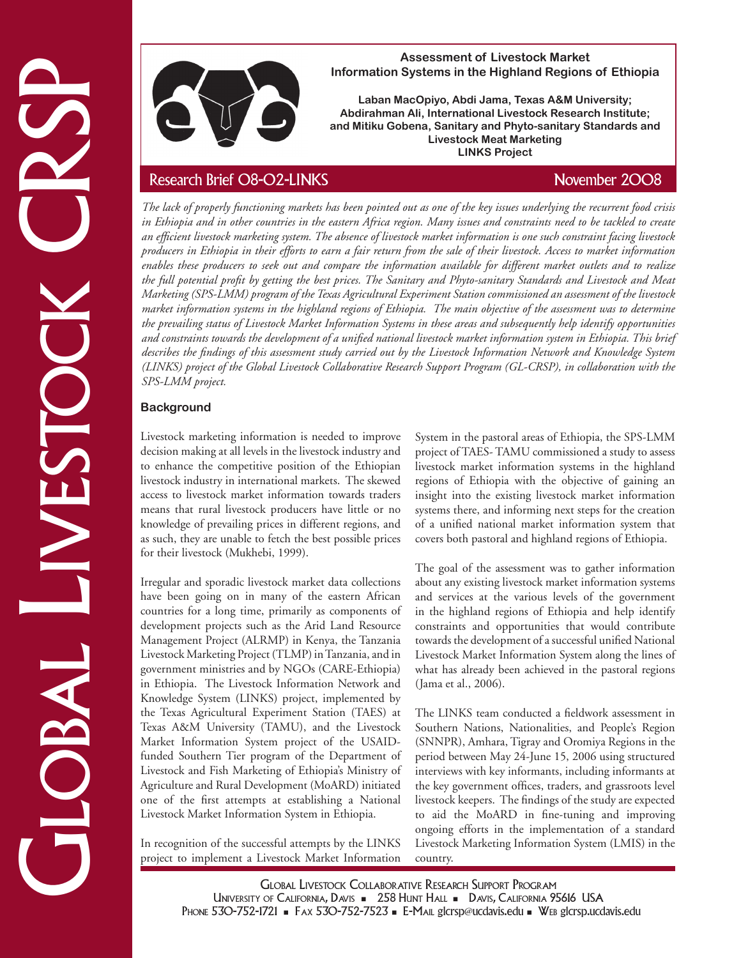

### **Assessment of Livestock Market Information Systems in the Highland Regions of Ethiopia**

**Laban MacOpiyo, Abdi Jama, Texas A&M University; Abdirahman Ali, International Livestock Research Institute; and Mitiku Gobena, Sanitary and Phyto-sanitary Standards and Livestock Meat Marketing LINKS Project**

Information Systems in the Highland Research in Studies and Mikhalia and Research Institute,<br>
Abdian hand Alki Information and Phyto-Research Institute,<br>
The latel of property function multipliers and the control of the C *The lack of properly functioning markets has been pointed out as one of the key issues underlying the recurrent food crisis in Ethiopia and in other countries in the eastern Africa region. Many issues and constraints need to be tackled to create an efficient livestock marketing system. The absence of livestock market information is one such constraint facing livestock producers in Ethiopia in their efforts to earn a fair return from the sale of their livestock. Access to market information enables these producers to seek out and compare the information available for different market outlets and to realize the full potential profit by getting the best prices. The Sanitary and Phyto-sanitary Standards and Livestock and Meat Marketing (SPS-LMM) program of the Texas Agricultural Experiment Station commissioned an assessment of the livestock market information systems in the highland regions of Ethiopia. The main objective of the assessment was to determine the prevailing status of Livestock Market Information Systems in these areas and subsequently help identify opportunities and constraints towards the development of a unified national livestock market information system in Ethiopia. This brief describes the findings of this assessment study carried out by the Livestock Information Network and Knowledge System (LINKS) project of the Global Livestock Collaborative Research Support Program (GL-CRSP), in collaboration with the SPS-LMM project.*

# **Background**

Livestock marketing information is needed to improve decision making at all levels in the livestock industry and to enhance the competitive position of the Ethiopian livestock industry in international markets. The skewed access to livestock market information towards traders means that rural livestock producers have little or no knowledge of prevailing prices in different regions, and as such, they are unable to fetch the best possible prices for their livestock (Mukhebi, 1999).

Irregular and sporadic livestock market data collections have been going on in many of the eastern African countries for a long time, primarily as components of development projects such as the Arid Land Resource Management Project (ALRMP) in Kenya, the Tanzania Livestock Marketing Project (TLMP) in Tanzania, and in government ministries and by NGOs (CARE-Ethiopia) in Ethiopia. The Livestock Information Network and Knowledge System (LINKS) project, implemented by the Texas Agricultural Experiment Station (TAES) at Texas A&M University (TAMU), and the Livestock Market Information System project of the USAIDfunded Southern Tier program of the Department of Livestock and Fish Marketing of Ethiopia's Ministry of Agriculture and Rural Development (MoARD) initiated one of the first attempts at establishing a National Livestock Market Information System in Ethiopia.

In recognition of the successful attempts by the LINKS project to implement a Livestock Market Information System in the pastoral areas of Ethiopia, the SPS-LMM project of TAES- TAMU commissioned a study to assess livestock market information systems in the highland regions of Ethiopia with the objective of gaining an insight into the existing livestock market information systems there, and informing next steps for the creation of a unified national market information system that covers both pastoral and highland regions of Ethiopia.

The goal of the assessment was to gather information about any existing livestock market information systems and services at the various levels of the government in the highland regions of Ethiopia and help identify constraints and opportunities that would contribute towards the development of a successful unified National Livestock Market Information System along the lines of what has already been achieved in the pastoral regions (Jama et al., 2006).

The LINKS team conducted a fieldwork assessment in Southern Nations, Nationalities, and People's Region (SNNPR), Amhara, Tigray and Oromiya Regions in the period between May 24-June 15, 2006 using structured interviews with key informants, including informants at the key government offices, traders, and grassroots level livestock keepers. The findings of the study are expected to aid the MoARD in fine-tuning and improving ongoing efforts in the implementation of a standard Livestock Marketing Information System (LMIS) in the country.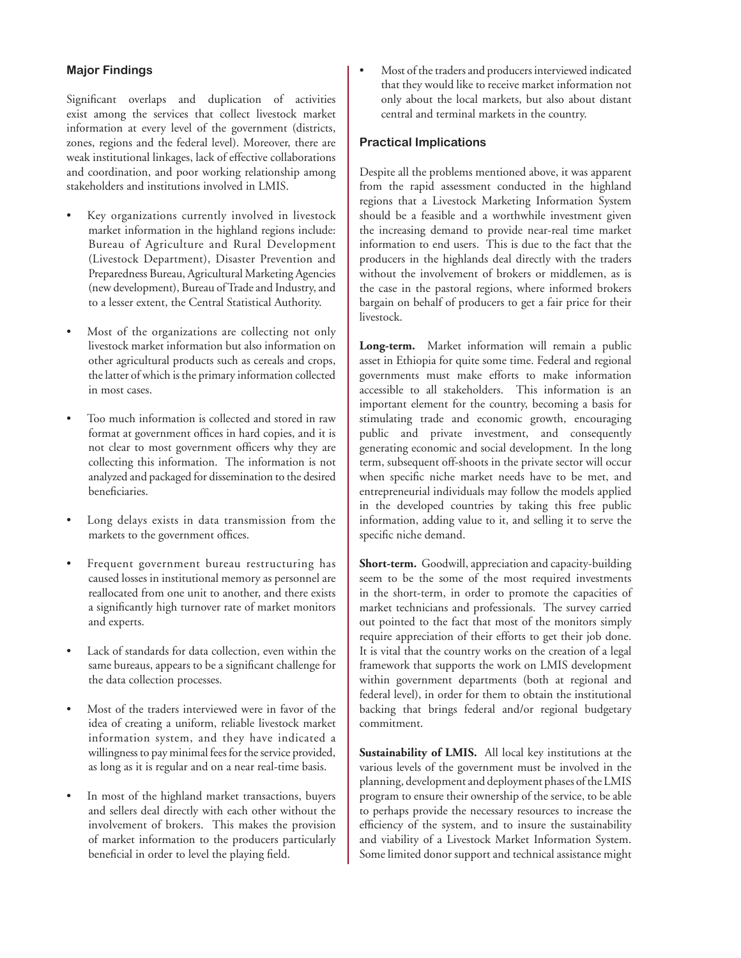# **Major Findings**

Significant overlaps and duplication of activities exist among the services that collect livestock market information at every level of the government (districts, zones, regions and the federal level). Moreover, there are weak institutional linkages, lack of effective collaborations and coordination, and poor working relationship among stakeholders and institutions involved in LMIS.

- Key organizations currently involved in livestock market information in the highland regions include: Bureau of Agriculture and Rural Development (Livestock Department), Disaster Prevention and Preparedness Bureau, Agricultural Marketing Agencies (new development), Bureau of Trade and Industry, and to a lesser extent, the Central Statistical Authority.
- Most of the organizations are collecting not only livestock market information but also information on other agricultural products such as cereals and crops, the latter of which is the primary information collected in most cases.
- Too much information is collected and stored in raw format at government offices in hard copies, and it is not clear to most government officers why they are collecting this information. The information is not analyzed and packaged for dissemination to the desired beneficiaries.
- Long delays exists in data transmission from the markets to the government offices.
- Frequent government bureau restructuring has caused losses in institutional memory as personnel are reallocated from one unit to another, and there exists a significantly high turnover rate of market monitors and experts.
- Lack of standards for data collection, even within the same bureaus, appears to be a significant challenge for the data collection processes.
- Most of the traders interviewed were in favor of the idea of creating a uniform, reliable livestock market information system, and they have indicated a willingness to pay minimal fees for the service provided, as long as it is regular and on a near real-time basis.
- In most of the highland market transactions, buyers and sellers deal directly with each other without the involvement of brokers. This makes the provision of market information to the producers particularly beneficial in order to level the playing field.

• Most of the traders and producers interviewed indicated that they would like to receive market information not only about the local markets, but also about distant central and terminal markets in the country.

#### **Practical Implications**

Despite all the problems mentioned above, it was apparent from the rapid assessment conducted in the highland regions that a Livestock Marketing Information System should be a feasible and a worthwhile investment given the increasing demand to provide near-real time market information to end users. This is due to the fact that the producers in the highlands deal directly with the traders without the involvement of brokers or middlemen, as is the case in the pastoral regions, where informed brokers bargain on behalf of producers to get a fair price for their livestock.

**Long-term.** Market information will remain a public asset in Ethiopia for quite some time. Federal and regional governments must make efforts to make information accessible to all stakeholders. This information is an important element for the country, becoming a basis for stimulating trade and economic growth, encouraging public and private investment, and consequently generating economic and social development. In the long term, subsequent off-shoots in the private sector will occur when specific niche market needs have to be met, and entrepreneurial individuals may follow the models applied in the developed countries by taking this free public information, adding value to it, and selling it to serve the specific niche demand.

**Short-term.** Goodwill, appreciation and capacity-building seem to be the some of the most required investments in the short-term, in order to promote the capacities of market technicians and professionals. The survey carried out pointed to the fact that most of the monitors simply require appreciation of their efforts to get their job done. It is vital that the country works on the creation of a legal framework that supports the work on LMIS development within government departments (both at regional and federal level), in order for them to obtain the institutional backing that brings federal and/or regional budgetary commitment.

**Sustainability of LMIS.** All local key institutions at the various levels of the government must be involved in the planning, development and deployment phases of the LMIS program to ensure their ownership of the service, to be able to perhaps provide the necessary resources to increase the efficiency of the system, and to insure the sustainability and viability of a Livestock Market Information System. Some limited donor support and technical assistance might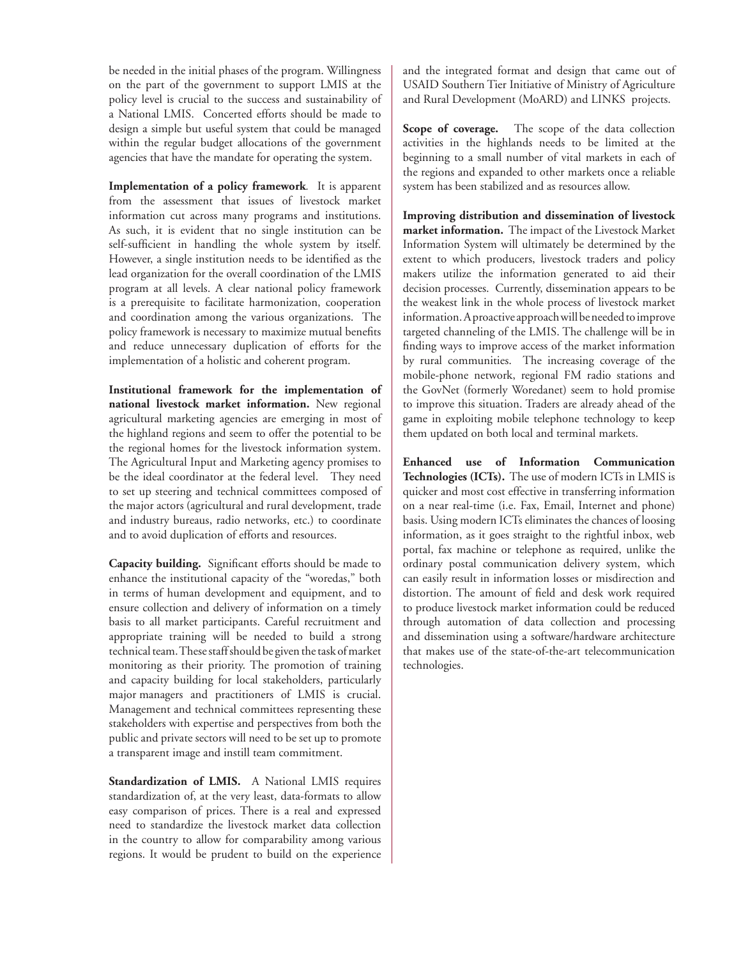be needed in the initial phases of the program. Willingness on the part of the government to support LMIS at the policy level is crucial to the success and sustainability of a National LMIS. Concerted efforts should be made to design a simple but useful system that could be managed within the regular budget allocations of the government agencies that have the mandate for operating the system.

**Implementation of a policy framework***.* It is apparent from the assessment that issues of livestock market information cut across many programs and institutions. As such, it is evident that no single institution can be self-sufficient in handling the whole system by itself. However, a single institution needs to be identified as the lead organization for the overall coordination of the LMIS program at all levels. A clear national policy framework is a prerequisite to facilitate harmonization, cooperation and coordination among the various organizations. The policy framework is necessary to maximize mutual benefits and reduce unnecessary duplication of efforts for the implementation of a holistic and coherent program.

**Institutional framework for the implementation of national livestock market information.** New regional agricultural marketing agencies are emerging in most of the highland regions and seem to offer the potential to be the regional homes for the livestock information system. The Agricultural Input and Marketing agency promises to be the ideal coordinator at the federal level. They need to set up steering and technical committees composed of the major actors (agricultural and rural development, trade and industry bureaus, radio networks, etc.) to coordinate and to avoid duplication of efforts and resources.

**Capacity building.** Significant efforts should be made to enhance the institutional capacity of the "woredas," both in terms of human development and equipment, and to ensure collection and delivery of information on a timely basis to all market participants. Careful recruitment and appropriate training will be needed to build a strong technical team. These staff should be given the task of market monitoring as their priority. The promotion of training and capacity building for local stakeholders, particularly major managers and practitioners of LMIS is crucial. Management and technical committees representing these stakeholders with expertise and perspectives from both the public and private sectors will need to be set up to promote a transparent image and instill team commitment.

**Standardization of LMIS.** A National LMIS requires standardization of, at the very least, data-formats to allow easy comparison of prices. There is a real and expressed need to standardize the livestock market data collection in the country to allow for comparability among various regions. It would be prudent to build on the experience and the integrated format and design that came out of USAID Southern Tier Initiative of Ministry of Agriculture and Rural Development (MoARD) and LINKS projects.

**Scope of coverage.**The scope of the data collection activities in the highlands needs to be limited at the beginning to a small number of vital markets in each of the regions and expanded to other markets once a reliable system has been stabilized and as resources allow.

**Improving distribution and dissemination of livestock market information.** The impact of the Livestock Market Information System will ultimately be determined by the extent to which producers, livestock traders and policy makers utilize the information generated to aid their decision processes. Currently, dissemination appears to be the weakest link in the whole process of livestock market information. A proactive approach will be needed to improve targeted channeling of the LMIS. The challenge will be in finding ways to improve access of the market information by rural communities. The increasing coverage of the mobile-phone network, regional FM radio stations and the GovNet (formerly Woredanet) seem to hold promise to improve this situation. Traders are already ahead of the game in exploiting mobile telephone technology to keep them updated on both local and terminal markets.

**Enhanced use of Information Communication Technologies (ICTs).** The use of modern ICTs in LMIS is quicker and most cost effective in transferring information on a near real-time (i.e. Fax, Email, Internet and phone) basis. Using modern ICTs eliminates the chances of loosing information, as it goes straight to the rightful inbox, web portal, fax machine or telephone as required, unlike the ordinary postal communication delivery system, which can easily result in information losses or misdirection and distortion. The amount of field and desk work required to produce livestock market information could be reduced through automation of data collection and processing and dissemination using a software/hardware architecture that makes use of the state-of-the-art telecommunication technologies.